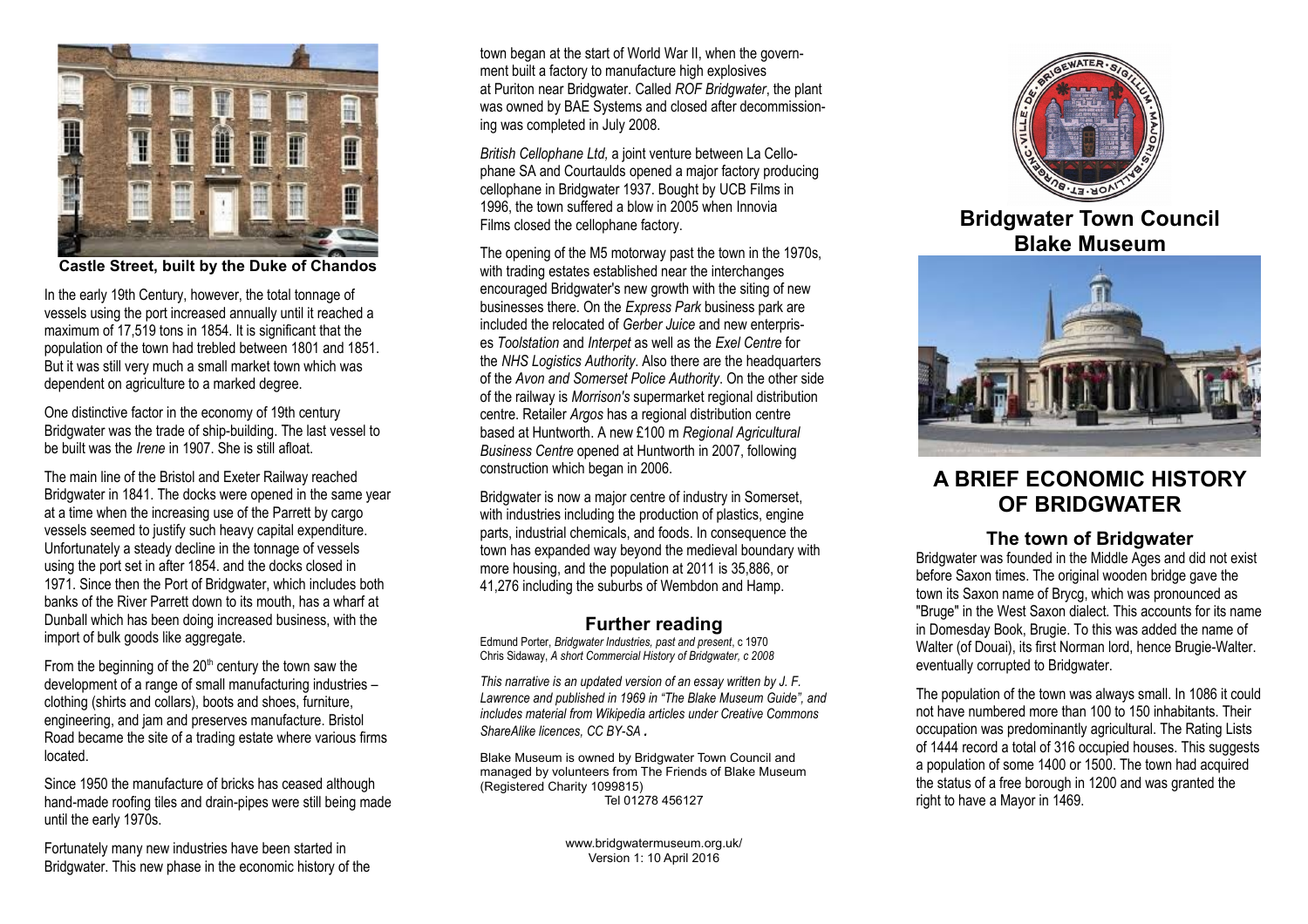

**Castle Street, built by the Duke of Chandos**

In the early 19th Century, however, the total tonnage of vessels using the port increased annually until it reached a maximum of 17,519 tons in 1854. It is significant that the population of the town had trebled between 1801 and 1851. But it was still very much a small market town which was dependent on agriculture to a marked degree.

One distinctive factor in the economy of 19th century Bridgwater was the trade of ship-building. The last vessel to be built was the *Irene* in 1907. She is still afloat.

The main line of the Bristol and Exeter Railway reached Bridgwater in 1841. The docks were opened in the same year at a time when the increasing use of the Parrett by cargo vessels seemed to justify such heavy capital expenditure. Unfortunately a steady decline in the tonnage of vessels using the port set in after 1854. and the docks closed in 1971. Since then the Port of Bridgwater, which includes both banks of the River Parrett down to its mouth, has a wharf at Dunball which has been doing increased business, with the import of bulk goods like aggregate.

From the beginning of the  $20<sup>th</sup>$  century the town saw the development of a range of small manufacturing industries – clothing (shirts and collars), boots and shoes, furniture, engineering, and jam and preserves manufacture. Bristol Road became the site of a trading estate where various firms located.

Since 1950 the manufacture of bricks has ceased although hand-made roofing tiles and drain-pipes were still being made until the early 1970s.

Fortunately many new industries have been started in Bridgwater. This new phase in the economic history of the

town began at the start of World War II, when the government built a factory to manufacture high explosives at Puriton near Bridgwater. Called *ROF Bridgwater*, the plant was owned by BAE Systems and closed after decommissioning was completed in July 2008.

*British Cellophane Ltd,* a joint venture between La Cellophane SA and Courtaulds opened a major factory producing cellophane in Bridgwater 1937. Bought by UCB Films in 1996, the town suffered a blow in 2005 when Innovia Films closed the cellophane factory.

The opening of the M5 motorway past the town in the 1970s, with trading estates established near the interchanges encouraged Bridgwater's new growth with the siting of new businesses there. On the *Express Park* business park are included the relocated of *Gerber Juice* and new enterprises *Toolstation* and *Interpet* as well as the *Exel Centre* for the *NHS Logistics Authority*. Also there are the headquarters of the *Avon and Somerset Police Authority*. On the other side of the railway is *Morrison's* supermarket regional distribution centre. Retailer *Argos* has a regional distribution centre based at Huntworth. A new £100 m *Regional Agricultural Business Centre* opened at Huntworth in 2007, following construction which began in 2006.

Bridgwater is now a major centre of industry in Somerset, with industries including the production of plastics, engine parts, industrial chemicals, and foods. In consequence the town has expanded way beyond the medieval boundary with more housing, and the population at 2011 is 35,886, or 41,276 including the suburbs of Wembdon and Hamp.

### **Further reading**

Edmund Porter, *Bridgwater Industries, past and present*, c 1970 Chris Sidaway, *A short Commercial History of Bridgwater, c 2008*

*This narrative is an updated version of an essay written by J. F. Lawrence and published in 1969 in "The Blake Museum Guide", and includes material from Wikipedia articles under Creative Commons ShareAlike licences, CC BY-SA .*

Blake Museum is owned by Bridgwater Town Council and managed by volunteers from The Friends of Blake Museum (Registered Charity 1099815) Tel 01278 456127

> www.bridgwatermuseum.org.uk/ Version 1: 10 April 2016



# **Bridgwater Town Council Blake Museum**



# **A BRIEF ECONOMIC HISTORY OF BRIDGWATER**

### **The town of Bridgwater**

Bridgwater was founded in the Middle Ages and did not exist before Saxon times. The original wooden bridge gave the town its Saxon name of Brycg, which was pronounced as "Bruge" in the West Saxon dialect. This accounts for its name in Domesday Book, Brugie. To this was added the name of Walter (of Douai), its first Norman lord, hence Brugie-Walter. eventually corrupted to Bridgwater.

The population of the town was always small. In 1086 it could not have numbered more than 100 to 150 inhabitants. Their occupation was predominantly agricultural. The Rating Lists of 1444 record a total of 316 occupied houses. This suggests a population of some 1400 or 1500. The town had acquired the status of a free borough in 1200 and was granted the right to have a Mayor in 1469.